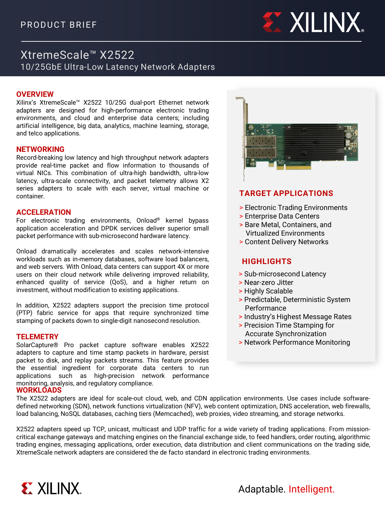

# XtremeScale™ X2522 10/25GbE Ultra-Low Latency Network Adapters

## **OVERVIEW**

Xilinx's XtremeScale™ X2522 10/25G dual-port Ethernet network adapters are designed for high-performance electronic trading environments, and cloud and enterprise data centers; including artificial intelligence, big data, analytics, machine learning, storage, and telco applications.

#### **NETWORKING**

Record-breaking low latency and high throughput network adapters provide real-time packet and flow information to thousands of virtual NICs. This combination of ultra-high bandwidth, ultra-low latency, ultra-scale connectivity, and packet telemetry allows X2 series adapters to scale with each server, virtual machine or container.

## **ACCELERATION**

For electronic trading environments, Onload® kernel bypass application acceleration and DPDK services deliver superior small packet performance with sub-microsecond hardware latency.

Onload dramatically accelerates and scales network-intensive workloads such as in-memory databases, software load balancers, and web servers. With Onload, data centers can support 4X or more users on their cloud network while delivering improved reliability, enhanced quality of service (QoS), and a higher return on investment, without modification to existing applications.

In addition, X2522 adapters support the precision time protocol (PTP) fabric service for apps that require synchronized time stamping of packets down to single-digit nanosecond resolution.

#### **TELEMETRY**

SolarCapture® Pro packet capture software enables X2522 adapters to capture and time stamp packets in hardware, persist packet to disk, and replay packets streams. This feature provides the essential ingredient for corporate data centers to run applications such as high-precision network performance monitoring, analysis, and regulatory compliance.

## **WORKLOADS**



## **TARGET APPLICATIONS**

- > Electronic Trading Environments
- > Enterprise Data Centers
- > Bare Metal, Containers, and Virtualized Environments
- > Content Delivery Networks

## **HIGHLIGHTS**

- > Sub-microsecond Latency
- > Near-zero Jitter
- > Highly Scalable
- > Predictable, Deterministic System Performance
- > Industry's Highest Message Rates
- > Precision Time Stamping for Accurate Synchronization
- > Network Performance Monitoring

The X2522 adapters are ideal for scale-out cloud, web, and CDN application environments. Use cases include softwaredefined networking (SDN), network functions virtualization (NFV), web content optimization, DNS acceleration, web firewalls, load balancing, NoSQL databases, caching tiers (Memcached), web proxies, video streaming, and storage networks.

X2522 adapters speed up TCP, unicast, multicast and UDP traffic for a wide variety of trading applications. From missioncritical exchange gateways and matching engines on the financial exchange side, to feed handlers, order routing, algorithmic trading engines, messaging applications, order execution, data distribution and client communications on the trading side, XtremeScale network adapters are considered the de facto standard in electronic trading environments.



Adaptable. Intelligent.